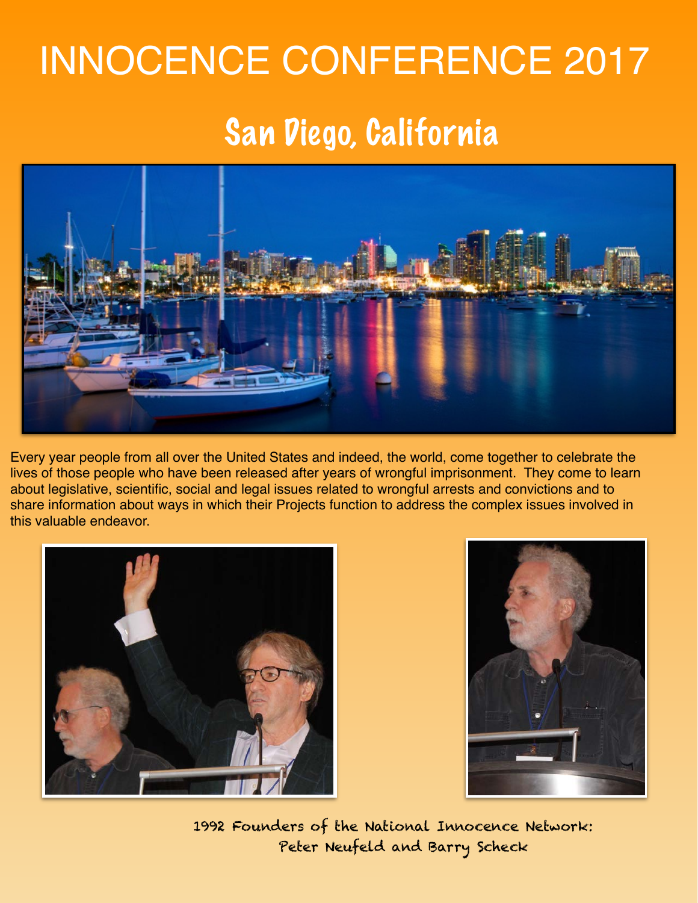# INNOCENCE CONFERENCE 2017

## San Diego, California



Every year people from all over the United States and indeed, the world, come together to celebrate the lives of those people who have been released after years of wrongful imprisonment. They come to learn about legislative, scientific, social and legal issues related to wrongful arrests and convictions and to share information about ways in which their Projects function to address the complex issues involved in this valuable endeavor.





1992 Founders of the National Innocence Network: Peter Neufeld and Barry Scheck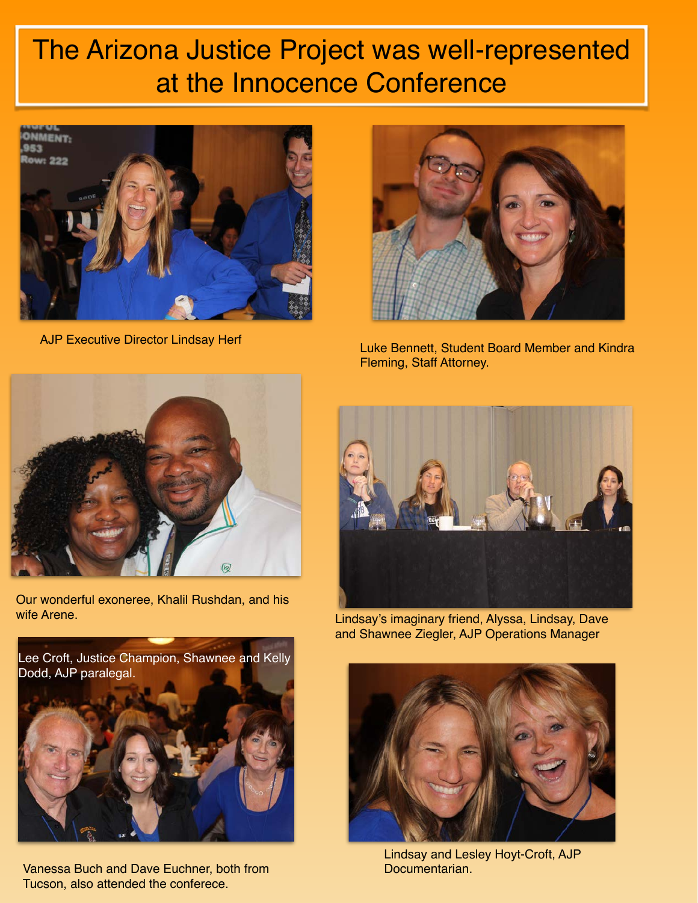## The Arizona Justice Project was well-represented at the Innocence Conference





AJP Executive Director Lindsay Herf Luke Bennett, Student Board Member and Kindra Fleming, Staff Attorney.



Our wonderful exoneree, Khalil Rushdan, and his wife Arene. **Lindsay's imaginary friend, Alyssa, Lindsay**, Dave



Vanessa Buch and Dave Euchner, both from **Drawing Contract Contract Departmentarian.** Tucson, also attended the conferece.



and Shawnee Ziegler, AJP Operations Manager



Lindsay and Lesley Hoyt-Croft, AJP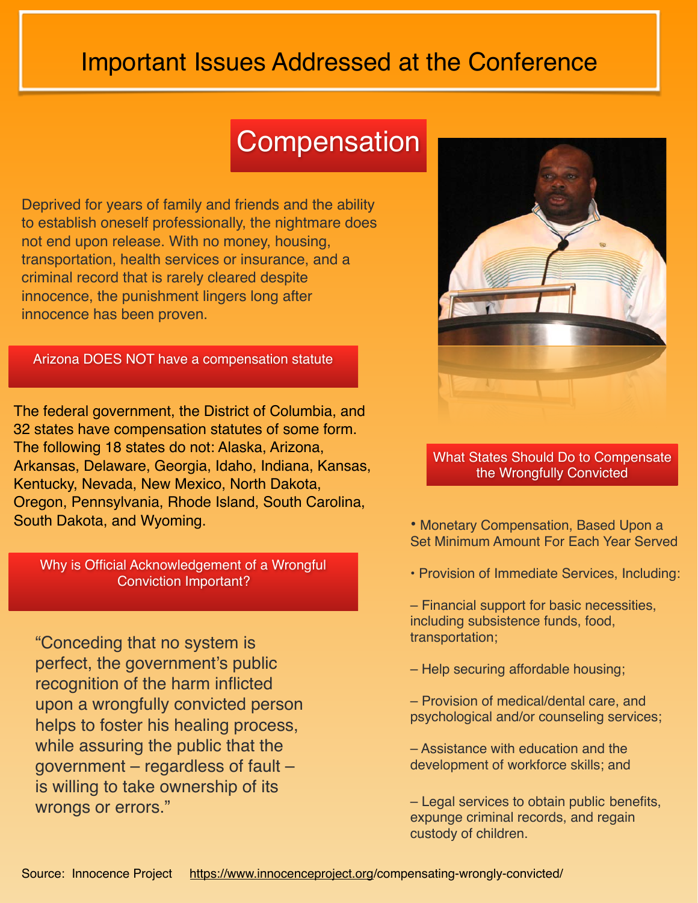### Important Issues Addressed at the Conference

### **Compensation**

Deprived for years of family and friends and the ability to establish oneself professionally, the nightmare does not end upon release. With no money, housing, transportation, health services or insurance, and a criminal record that is rarely cleared despite innocence, the punishment lingers long after innocence has been proven.

Arizona DOES NOT have a compensation statute

The federal government, the District of Columbia, and 32 states have compensation statutes of some form. The following 18 states do not: Alaska, Arizona, Arkansas, Delaware, Georgia, Idaho, Indiana, Kansas, Kentucky, Nevada, New Mexico, North Dakota, Oregon, Pennsylvania, Rhode Island, South Carolina, South Dakota, and Wyoming.

Why is Official Acknowledgement of a Wrongful Conviction Important?

"Conceding that no system is perfect, the government's public recognition of the harm inflicted upon a wrongfully convicted person helps to foster his healing process, while assuring the public that the government – regardless of fault – is willing to take ownership of its wrongs or errors."



#### What States Should Do to Compensate the Wrongfully Convicted

- Monetary Compensation, Based Upon a Set Minimum Amount For Each Year Served
- Provision of Immediate Services, Including:

– Financial support for basic necessities, including subsistence funds, food, transportation;

- Help securing affordable housing;
- Provision of medical/dental care, and psychological and/or counseling services;
- Assistance with education and the development of workforce skills; and

– Legal services to obtain public benefits, expunge criminal records, and regain custody of children.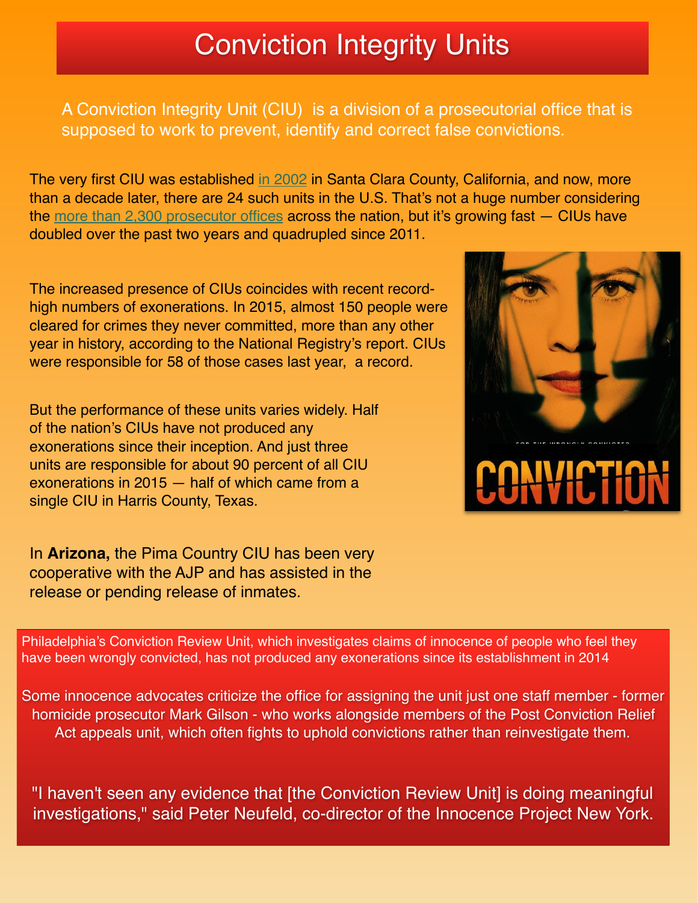## Conviction Integrity Units

A Conviction Integrity Unit (CIU) is a division of a prosecutorial office that is supposed to work to prevent, identify and correct false convictions.

The very first CIU was established [in 2002](https://www.law.umich.edu/special/exoneration/Documents/Exonerations_in_2014_report.pdf) in Santa Clara County, California, and now, more than a decade later, there are 24 such units in the U.S. That's not a huge number considering the [more than 2,300 prosecutor offices](http://www.bjs.gov/index.cfm?ty=tp&tid=27) across the nation, but it's growing fast — CIUs have doubled over the past two years and quadrupled since 2011.

The increased presence of CIUs coincides with recent recordhigh numbers of exonerations. In 2015, almost 150 people were cleared for crimes they never committed, more than any other year in history, according to the National Registry's report. CIUs were responsible for 58 of those cases last year, a record.

But the performance of these units varies widely. Half of the nation's CIUs have not produced any exonerations since their inception. And just three units are responsible for about 90 percent of all CIU exonerations in 2015 — half of which came from a single CIU in Harris County, Texas.

In **Arizona,** the Pima Country CIU has been very cooperative with the AJP and has assisted in the release or pending release of inmates.



Philadelphia's Conviction Review Unit, which investigates claims of innocence of people who feel they have been wrongly convicted, has not produced any exonerations since its establishment in 2014

Some innocence advocates criticize the office for assigning the unit just one staff member - former homicide prosecutor Mark Gilson - who works alongside members of the Post Conviction Relief Act appeals unit, which often fights to uphold convictions rather than reinvestigate them.

"I haven't seen any evidence that [the Conviction Review Unit] is doing meaningful investigations," said Peter Neufeld, co-director of the Innocence Project New York.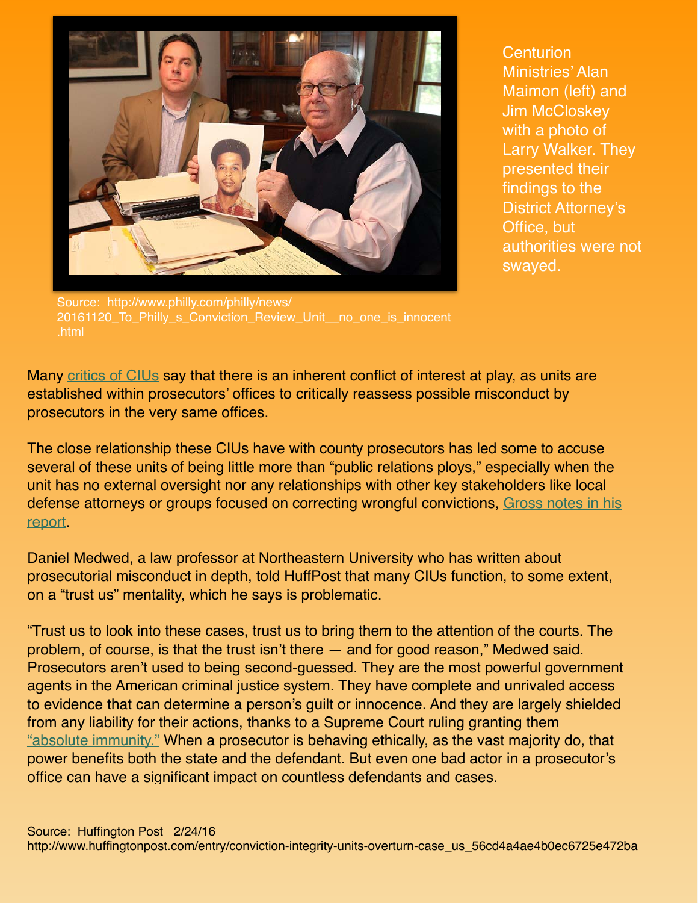

**Centurion** Ministries' Alan Maimon (left) and Jim McCloskey with a photo of Larry Walker. They presented their findings to the District Attorney's Office, but authorities were not swayed.

Source: http://www.philly.com/philly/news/ 20161120 To Philly s Conviction Review Unit no one is innocent .html

Many [critics of CIUs](http://www.thecrimereport.org/news/inside-criminal-justice/2014-03-wrongful-convictions-can-prosecutors-reform-themselv) say that there is an inherent conflict of interest at play, as units are established within prosecutors' offices to critically reassess possible misconduct by prosecutors in the very same offices.

The close relationship these CIUs have with county prosecutors has led some to accuse several of these units of being little more than "public relations ploys," especially when the unit has no external oversight nor any relationships with other key stakeholders like local [defense attorneys or groups focused on correcting wrongful convictions, Gross notes in his](http://www.law.umich.edu/special/exoneration/Documents/Exonerations_in_2015.pdf)  report.

Daniel Medwed, a law professor at Northeastern University who has written about prosecutorial misconduct in depth, told HuffPost that many CIUs function, to some extent, on a "trust us" mentality, which he says is problematic.

"Trust us to look into these cases, trust us to bring them to the attention of the courts. The problem, of course, is that the trust isn't there — and for good reason," Medwed said. Prosecutors aren't used to being second-guessed. They are the most powerful government agents in the American criminal justice system. They have complete and unrivaled access to evidence that can determine a person's guilt or innocence. And they are largely shielded from any liability for their actions, thanks to a Supreme Court ruling granting them ["absolute immunity."](https://supreme.justia.com/cases/federal/us/424/409/) When a prosecutor is behaving ethically, as the vast majority do, that power benefits both the state and the defendant. But even one bad actor in a prosecutor's office can have a significant impact on countless defendants and cases.